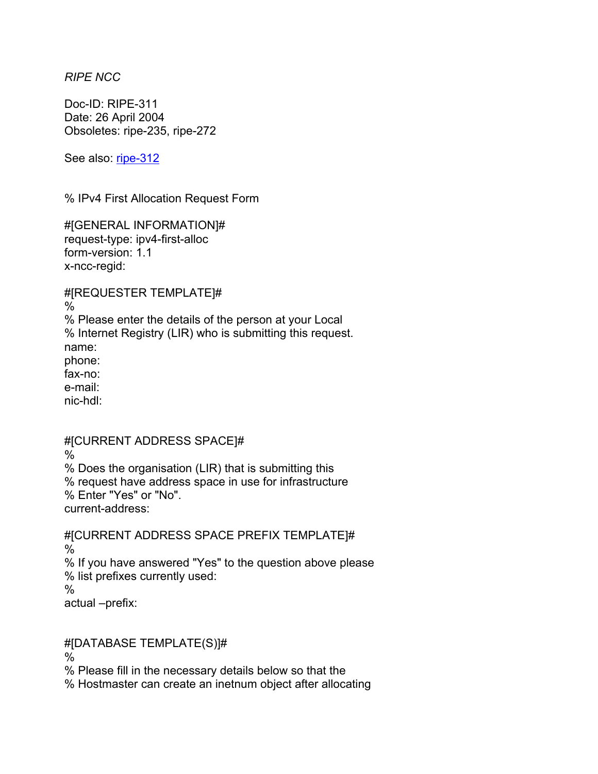*RIPE NCC* 

Doc-ID: RIPE-311 Date: 26 April 2004 Obsoletes: ripe-235, ripe-272

See also: [ripe-312](https://www.ripe.net/ripe/docs/ripe-312.html)

% IPv4 First Allocation Request Form

#[GENERAL INFORMATION]# request-type: ipv4-first-alloc form-version: 1.1 x-ncc-regid:

#[REQUESTER TEMPLATE]#

% % Please enter the details of the person at your Local % Internet Registry (LIR) who is submitting this request. name: phone: fax-no: e-mail: nic-hdl:

## #[CURRENT ADDRESS SPACE]#

% % Does the organisation (LIR) that is submitting this % request have address space in use for infrastructure % Enter "Yes" or "No". current-address:

#[CURRENT ADDRESS SPACE PREFIX TEMPLATE]# % % If you have answered "Yes" to the question above please % list prefixes currently used:  $\%$ actual –prefix:

#[DATABASE TEMPLATE(S)]#

%

% Please fill in the necessary details below so that the

% Hostmaster can create an inetnum object after allocating